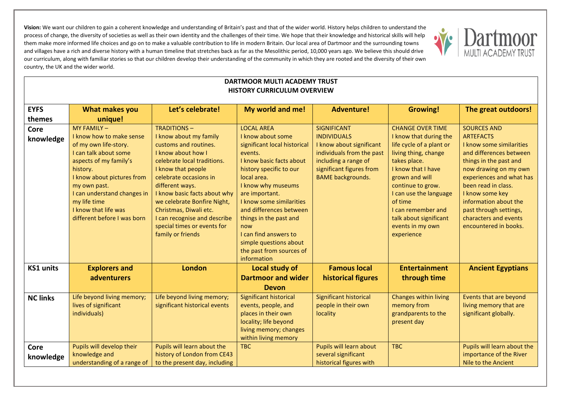

| <b>DARTMOOR MULTI ACADEMY TRUST</b><br><b>HISTORY CURRICULUM OVERVIEW</b> |                                                                                                                                                                                                                                                                                    |                                                                                                                                                                                                                                                                                                                                                                            |                                                                                                                                                                                                                                                                                                                                                                                       |                                                                                                                                                                                   |                                                                                                                                                                                                                                                                                                           |                                                                                                                                                                                                                                                                                                                             |
|---------------------------------------------------------------------------|------------------------------------------------------------------------------------------------------------------------------------------------------------------------------------------------------------------------------------------------------------------------------------|----------------------------------------------------------------------------------------------------------------------------------------------------------------------------------------------------------------------------------------------------------------------------------------------------------------------------------------------------------------------------|---------------------------------------------------------------------------------------------------------------------------------------------------------------------------------------------------------------------------------------------------------------------------------------------------------------------------------------------------------------------------------------|-----------------------------------------------------------------------------------------------------------------------------------------------------------------------------------|-----------------------------------------------------------------------------------------------------------------------------------------------------------------------------------------------------------------------------------------------------------------------------------------------------------|-----------------------------------------------------------------------------------------------------------------------------------------------------------------------------------------------------------------------------------------------------------------------------------------------------------------------------|
| <b>EYFS</b>                                                               | What makes you                                                                                                                                                                                                                                                                     | Let's celebrate!                                                                                                                                                                                                                                                                                                                                                           | My world and me!                                                                                                                                                                                                                                                                                                                                                                      | <b>Adventure!</b>                                                                                                                                                                 | <b>Growing!</b>                                                                                                                                                                                                                                                                                           | The great outdoors!                                                                                                                                                                                                                                                                                                         |
| themes                                                                    | unique!                                                                                                                                                                                                                                                                            |                                                                                                                                                                                                                                                                                                                                                                            |                                                                                                                                                                                                                                                                                                                                                                                       |                                                                                                                                                                                   |                                                                                                                                                                                                                                                                                                           |                                                                                                                                                                                                                                                                                                                             |
| <b>Core</b><br>knowledge                                                  | MY FAMILY-<br>I know how to make sense<br>of my own life-story.<br>I can talk about some<br>aspects of my family's<br>history.<br>I know about pictures from<br>my own past.<br>I can understand changes in<br>my life time<br>I know that life was<br>different before I was born | <b>TRADITIONS-</b><br>I know about my family<br>customs and routines.<br>I know about how I<br>celebrate local traditions.<br>I know that people<br>celebrate occasions in<br>different ways.<br>I know basic facts about why<br>we celebrate Bonfire Night,<br>Christmas, Diwali etc.<br>I can recognise and describe<br>special times or events for<br>family or friends | <b>LOCAL AREA</b><br>I know about some<br>significant local historical<br>events.<br>I know basic facts about<br>history specific to our<br>local area.<br>I know why museums<br>are important.<br>I know some similarities<br>and differences between<br>things in the past and<br>now<br>I can find answers to<br>simple questions about<br>the past from sources of<br>information | <b>SIGNIFICANT</b><br><b>INDIVIDUALS</b><br>I know about significant<br>individuals from the past<br>including a range of<br>significant figures from<br><b>BAME</b> backgrounds. | <b>CHANGE OVER TIME</b><br>I know that during the<br>life cycle of a plant or<br>living thing, change<br>takes place.<br>I know that I have<br>grown and will<br>continue to grow.<br>I can use the language<br>of time<br>I can remember and<br>talk about significant<br>events in my own<br>experience | <b>SOURCES AND</b><br><b>ARTEFACTS</b><br>I know some similarities<br>and differences between<br>things in the past and<br>now drawing on my own<br>experiences and what has<br>been read in class.<br>I know some key<br>information about the<br>past through settings,<br>characters and events<br>encountered in books. |
| <b>KS1 units</b>                                                          | <b>Explorers and</b><br>adventurers                                                                                                                                                                                                                                                | <b>London</b>                                                                                                                                                                                                                                                                                                                                                              | <b>Local study of</b><br><b>Dartmoor and wider</b><br><b>Devon</b>                                                                                                                                                                                                                                                                                                                    | <b>Famous local</b><br>historical figures                                                                                                                                         | <b>Entertainment</b><br>through time                                                                                                                                                                                                                                                                      | <b>Ancient Egyptians</b>                                                                                                                                                                                                                                                                                                    |
| <b>NC links</b>                                                           | Life beyond living memory;<br>lives of significant<br>individuals)                                                                                                                                                                                                                 | Life beyond living memory;<br>significant historical events                                                                                                                                                                                                                                                                                                                | Significant historical<br>events, people, and<br>places in their own<br>locality; life beyond<br>living memory; changes<br>within living memory                                                                                                                                                                                                                                       | Significant historical<br>people in their own<br>locality                                                                                                                         | Changes within living<br>memory from<br>grandparents to the<br>present day                                                                                                                                                                                                                                | Events that are beyond<br>living memory that are<br>significant globally.                                                                                                                                                                                                                                                   |
| <b>Core</b><br>knowledge                                                  | Pupils will develop their<br>knowledge and<br>understanding of a range of                                                                                                                                                                                                          | Pupils will learn about the<br>history of London from CE43<br>to the present day, including                                                                                                                                                                                                                                                                                | <b>TBC</b>                                                                                                                                                                                                                                                                                                                                                                            | Pupils will learn about<br>several significant<br>historical figures with                                                                                                         | <b>TBC</b>                                                                                                                                                                                                                                                                                                | Pupils will learn about the<br>importance of the River<br>Nile to the Ancient                                                                                                                                                                                                                                               |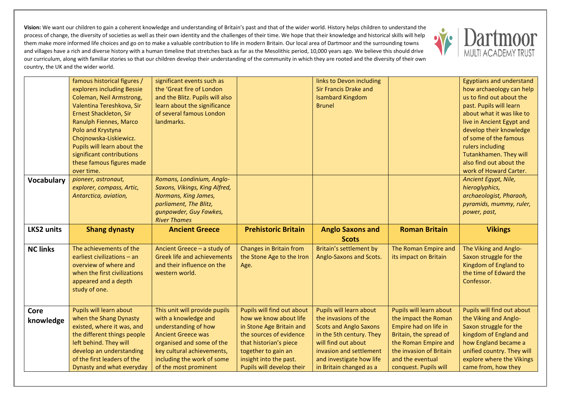

|                   | famous historical figures /<br>explorers including Bessie<br>Coleman, Neil Armstrong,<br>Valentina Tereshkova, Sir<br><b>Ernest Shackleton, Sir</b><br>Ranulph Fiennes, Marco<br>Polo and Krystyna<br>Chojnowska-Liskiewicz.<br>Pupils will learn about the<br>significant contributions<br>these famous figures made | significant events such as<br>the 'Great fire of London<br>and the Blitz. Pupils will also<br>learn about the significance<br>of several famous London<br>landmarks. |                                                              | links to Devon including<br><b>Sir Francis Drake and</b><br><b>Isambard Kingdom</b><br><b>Brunel</b> |                                               | <b>Egyptians and understand</b><br>how archaeology can help<br>us to find out about the<br>past. Pupils will learn<br>about what it was like to<br>live in Ancient Egypt and<br>develop their knowledge<br>of some of the famous<br>rulers including<br>Tutankhamen. They will<br>also find out about the |
|-------------------|-----------------------------------------------------------------------------------------------------------------------------------------------------------------------------------------------------------------------------------------------------------------------------------------------------------------------|----------------------------------------------------------------------------------------------------------------------------------------------------------------------|--------------------------------------------------------------|------------------------------------------------------------------------------------------------------|-----------------------------------------------|-----------------------------------------------------------------------------------------------------------------------------------------------------------------------------------------------------------------------------------------------------------------------------------------------------------|
|                   | over time.                                                                                                                                                                                                                                                                                                            |                                                                                                                                                                      |                                                              |                                                                                                      |                                               | work of Howard Carter.                                                                                                                                                                                                                                                                                    |
| <b>Vocabulary</b> | pioneer, astronaut,<br>explorer, compass, Artic,<br>Antarctica, aviation,                                                                                                                                                                                                                                             | Romans, Londinium, Anglo-<br>Saxons, Vikings, King Alfred,<br>Normans, King James,<br>parliament, The Blitz,<br>gunpowder, Guy Fawkes,<br><b>River Thames</b>        |                                                              |                                                                                                      |                                               | Ancient Egypt, Nile,<br>hieroglyphics,<br>archaeologist, Pharaoh,<br>pyramids, mummy, ruler,<br>power, past,                                                                                                                                                                                              |
|                   |                                                                                                                                                                                                                                                                                                                       |                                                                                                                                                                      |                                                              |                                                                                                      |                                               |                                                                                                                                                                                                                                                                                                           |
| <b>LKS2 units</b> | <b>Shang dynasty</b>                                                                                                                                                                                                                                                                                                  | <b>Ancient Greece</b>                                                                                                                                                | <b>Prehistoric Britain</b>                                   | <b>Anglo Saxons and</b><br><b>Scots</b>                                                              | <b>Roman Britain</b>                          | <b>Vikings</b>                                                                                                                                                                                                                                                                                            |
| <b>NC links</b>   | The achievements of the<br>earliest civilizations - an<br>overview of where and<br>when the first civilizations<br>appeared and a depth<br>study of one.                                                                                                                                                              | Ancient Greece - a study of<br><b>Greek life and achievements</b><br>and their influence on the<br>western world.                                                    | Changes in Britain from<br>the Stone Age to the Iron<br>Age. | Britain's settlement by<br>Anglo-Saxons and Scots.                                                   | The Roman Empire and<br>its impact on Britain | The Viking and Anglo-<br>Saxon struggle for the<br>Kingdom of England to<br>the time of Edward the<br>Confessor.                                                                                                                                                                                          |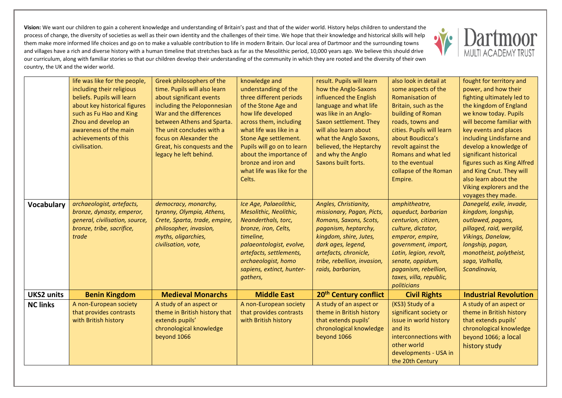

|                   | life was like for the people,<br>including their religious<br>beliefs. Pupils will learn<br>about key historical figures<br>such as Fu Hao and King<br>Zhou and develop an<br>awareness of the main<br>achievements of this<br>civilisation. | Greek philosophers of the<br>time. Pupils will also learn<br>about significant events<br>including the Peloponnesian<br>War and the differences<br>between Athens and Sparta.<br>The unit concludes with a<br>focus on Alexander the<br>Great, his conquests and the<br>legacy he left behind. | knowledge and<br>understanding of the<br>three different periods<br>of the Stone Age and<br>how life developed<br>across them, including<br>what life was like in a<br>Stone Age settlement.<br>Pupils will go on to learn<br>about the importance of<br>bronze and iron and<br>what life was like for the<br>Celts. | result. Pupils will learn<br>how the Anglo-Saxons<br>influenced the English<br>language and what life<br>was like in an Anglo-<br>Saxon settlement. They<br>will also learn about<br>what the Anglo Saxons,<br>believed, the Heptarchy<br>and why the Anglo<br>Saxons built forts. | also look in detail at<br>some aspects of the<br>Romanisation of<br>Britain, such as the<br>building of Roman<br>roads, towns and<br>cities. Pupils will learn<br>about Boudicca's<br>revolt against the<br>Romans and what led<br>to the eventual<br>collapse of the Roman<br>Empire. | fought for territory and<br>power, and how their<br>fighting ultimately led to<br>the kingdom of England<br>we know today. Pupils<br>will become familiar with<br>key events and places<br>including Lindisfarne and<br>develop a knowledge of<br>significant historical<br>figures such as King Alfred<br>and King Cnut. They will<br>also learn about the<br>Viking explorers and the<br>voyages they made. |
|-------------------|----------------------------------------------------------------------------------------------------------------------------------------------------------------------------------------------------------------------------------------------|------------------------------------------------------------------------------------------------------------------------------------------------------------------------------------------------------------------------------------------------------------------------------------------------|----------------------------------------------------------------------------------------------------------------------------------------------------------------------------------------------------------------------------------------------------------------------------------------------------------------------|------------------------------------------------------------------------------------------------------------------------------------------------------------------------------------------------------------------------------------------------------------------------------------|----------------------------------------------------------------------------------------------------------------------------------------------------------------------------------------------------------------------------------------------------------------------------------------|---------------------------------------------------------------------------------------------------------------------------------------------------------------------------------------------------------------------------------------------------------------------------------------------------------------------------------------------------------------------------------------------------------------|
| <b>Vocabulary</b> | archaeologist, artefacts,<br>bronze, dynasty, emperor,<br>general, civilisation, source,<br>bronze, tribe, sacrifice,<br>trade                                                                                                               | democracy, monarchy,<br>tyranny, Olympia, Athens,<br>Crete, Sparta, trade, empire,<br>philosopher, invasion,<br>myths, oligarchies,<br>civilisation, vote,                                                                                                                                     | Ice Age, Palaeolithic,<br>Mesolithic, Neolithic,<br>Neanderthals, torc,<br>bronze, iron, Celts,<br>timeline,<br>palaeontologist, evolve,<br>artefacts, settlements,<br>archaeologist, homo<br>sapiens, extinct, hunter-<br>gathers,                                                                                  | Angles, Christianity,<br>missionary, Pagan, Picts,<br>Romans, Saxons, Scots,<br>paganism, heptarchy,<br>kingdom, shire, Jutes,<br>dark ages, legend,<br>artefacts, chronicle,<br>tribe, rebellion, invasion,<br>raids, barbarian,                                                  | amphitheatre,<br>aqueduct, barbarian<br>centurion, citizen,<br>culture, dictator,<br>emperor, empire,<br>government, import,<br>Latin, legion, revolt,<br>senate, oppidum,<br>paganism, rebellion,<br>taxes, villa, republic,<br>politicians                                           | Danegeld, exile, invade,<br>kingdom, longship,<br>outlawed, pagans,<br>pillaged, raid, wergild,<br>Vikings, Danelaw,<br>longship, pagan,<br>monotheist, polytheist,<br>saga, Valhalla,<br>Scandinavia,                                                                                                                                                                                                        |
| <b>UKS2 units</b> | <b>Benin Kingdom</b>                                                                                                                                                                                                                         | <b>Medieval Monarchs</b>                                                                                                                                                                                                                                                                       | <b>Middle East</b>                                                                                                                                                                                                                                                                                                   | 20 <sup>th</sup> Century conflict                                                                                                                                                                                                                                                  | <b>Civil Rights</b>                                                                                                                                                                                                                                                                    | <b>Industrial Revolution</b>                                                                                                                                                                                                                                                                                                                                                                                  |
| <b>NC links</b>   | A non-European society<br>that provides contrasts<br>with British history                                                                                                                                                                    | A study of an aspect or<br>theme in British history that<br>extends pupils'<br>chronological knowledge<br>beyond 1066                                                                                                                                                                          | A non-European society<br>that provides contrasts<br>with British history                                                                                                                                                                                                                                            | A study of an aspect or<br>theme in British history<br>that extends pupils'<br>chronological knowledge<br>beyond 1066                                                                                                                                                              | (KS3) Study of a<br>significant society or<br>issue in world history<br>and its<br>interconnections with<br>other world<br>developments - USA in<br>the 20th Century                                                                                                                   | A study of an aspect or<br>theme in British history<br>that extends pupils'<br>chronological knowledge<br>beyond 1066; a local<br>history study                                                                                                                                                                                                                                                               |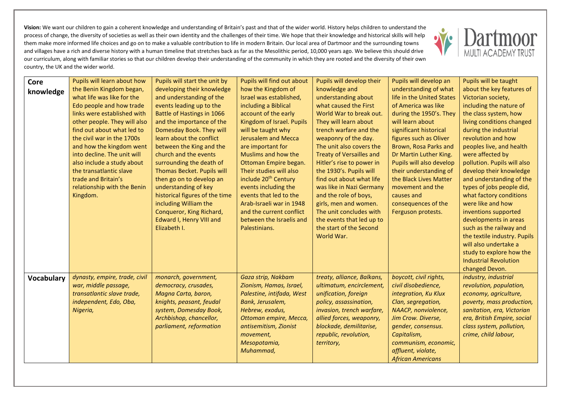

| Core<br>knowledge | Pupils will learn about how<br>the Benin Kingdom began,<br>what life was like for the<br>Edo people and how trade<br>links were established with<br>other people. They will also<br>find out about what led to<br>the civil war in the 1700s<br>and how the kingdom went<br>into decline. The unit will<br>also include a study about<br>the transatlantic slave<br>trade and Britain's<br>relationship with the Benin<br>Kingdom. | Pupils will start the unit by<br>developing their knowledge<br>and understanding of the<br>events leading up to the<br>Battle of Hastings in 1066<br>and the importance of the<br>Domesday Book. They will<br>learn about the conflict<br>between the King and the<br>church and the events<br>surrounding the death of<br>Thomas Becket. Pupils will<br>then go on to develop an<br>understanding of key<br>historical figures of the time<br>including William the<br>Conqueror, King Richard,<br>Edward I, Henry VIII and<br>Elizabeth I. | Pupils will find out about<br>how the Kingdom of<br>Israel was established,<br>including a Biblical<br>account of the early<br>Kingdom of Israel. Pupils<br>will be taught why<br><b>Jerusalem and Mecca</b><br>are important for<br>Muslims and how the<br>Ottoman Empire began.<br>Their studies will also<br>include 20 <sup>th</sup> Century<br>events including the<br>events that led to the<br>Arab-Israeli war in 1948<br>and the current conflict<br>between the Israelis and<br>Palestinians. | Pupils will develop their<br>knowledge and<br>understanding about<br>what caused the First<br>World War to break out.<br>They will learn about<br>trench warfare and the<br>weaponry of the day.<br>The unit also covers the<br><b>Treaty of Versailles and</b><br>Hitler's rise to power in<br>the 1930's. Pupils will<br>find out about what life<br>was like in Nazi Germany<br>and the role of boys,<br>girls, men and women.<br>The unit concludes with<br>the events that led up to<br>the start of the Second<br>World War. | Pupils will develop an<br>understanding of what<br>life in the United States<br>of America was like<br>during the 1950's. They<br>will learn about<br>significant historical<br>figures such as Oliver<br>Brown, Rosa Parks and<br>Dr Martin Luther King.<br>Pupils will also develop<br>their understanding of<br>the Black Lives Matter<br>movement and the<br>causes and<br>consequences of the<br>Ferguson protests. | Pupils will be taught<br>about the key features of<br>Victorian society,<br>including the nature of<br>the class system, how<br>living conditions changed<br>during the industrial<br>revolution and how<br>peoples live, and health<br>were affected by<br>pollution. Pupils will also<br>develop their knowledge<br>and understanding of the<br>types of jobs people did,<br>what factory conditions<br>were like and how<br>inventions supported<br>developments in areas<br>such as the railway and<br>the textile industry. Pupils<br>will also undertake a<br>study to explore how the<br><b>Industrial Revolution</b><br>changed Devon. |
|-------------------|------------------------------------------------------------------------------------------------------------------------------------------------------------------------------------------------------------------------------------------------------------------------------------------------------------------------------------------------------------------------------------------------------------------------------------|----------------------------------------------------------------------------------------------------------------------------------------------------------------------------------------------------------------------------------------------------------------------------------------------------------------------------------------------------------------------------------------------------------------------------------------------------------------------------------------------------------------------------------------------|---------------------------------------------------------------------------------------------------------------------------------------------------------------------------------------------------------------------------------------------------------------------------------------------------------------------------------------------------------------------------------------------------------------------------------------------------------------------------------------------------------|------------------------------------------------------------------------------------------------------------------------------------------------------------------------------------------------------------------------------------------------------------------------------------------------------------------------------------------------------------------------------------------------------------------------------------------------------------------------------------------------------------------------------------|--------------------------------------------------------------------------------------------------------------------------------------------------------------------------------------------------------------------------------------------------------------------------------------------------------------------------------------------------------------------------------------------------------------------------|------------------------------------------------------------------------------------------------------------------------------------------------------------------------------------------------------------------------------------------------------------------------------------------------------------------------------------------------------------------------------------------------------------------------------------------------------------------------------------------------------------------------------------------------------------------------------------------------------------------------------------------------|
| <b>Vocabulary</b> | dynasty, empire, trade, civil<br>war, middle passage,<br>transatlantic slave trade,<br>independent, Edo, Oba,<br>Nigeria,                                                                                                                                                                                                                                                                                                          | monarch, government,<br>democracy, crusades,<br>Magna Carta, baron,<br>knights, peasant, feudal<br>system, Domesday Book,<br>Archbishop, chancellor,<br>parliament, reformation                                                                                                                                                                                                                                                                                                                                                              | Gaza strip, Nakbam<br>Zionism, Hamas, Israel,<br>Palestine, intifada, West<br>Bank, Jerusalem,<br>Hebrew, exodus,<br>Ottoman empire, Mecca,<br>antisemitism, Zionist<br>movement,<br>Mesopotamia,<br>Muhammad,                                                                                                                                                                                                                                                                                          | treaty, alliance, Balkans,<br>ultimatum, encirclement,<br>unification, foreign<br>policy, assassination,<br>invasion, trench warfare,<br>allied forces, weaponry,<br>blockade, demilitarise,<br>republic, revolution,<br>territory,                                                                                                                                                                                                                                                                                                | boycott, civil rights,<br>civil disobedience,<br>integration, Ku Klux<br>Clan, segregation,<br>NAACP, nonviolence,<br>Jim Crow. Diverse,<br>gender, consensus.<br>Capitalism,<br>communism, economic,<br>affluent, violate,<br><b>African Americans</b>                                                                                                                                                                  | industry, industrial<br>revolution, population,<br>economy, agriculture,<br>poverty, mass production,<br>sanitation, era, Victorian<br>era, British Empire, social<br>class system, pollution,<br>crime, child labour,                                                                                                                                                                                                                                                                                                                                                                                                                         |